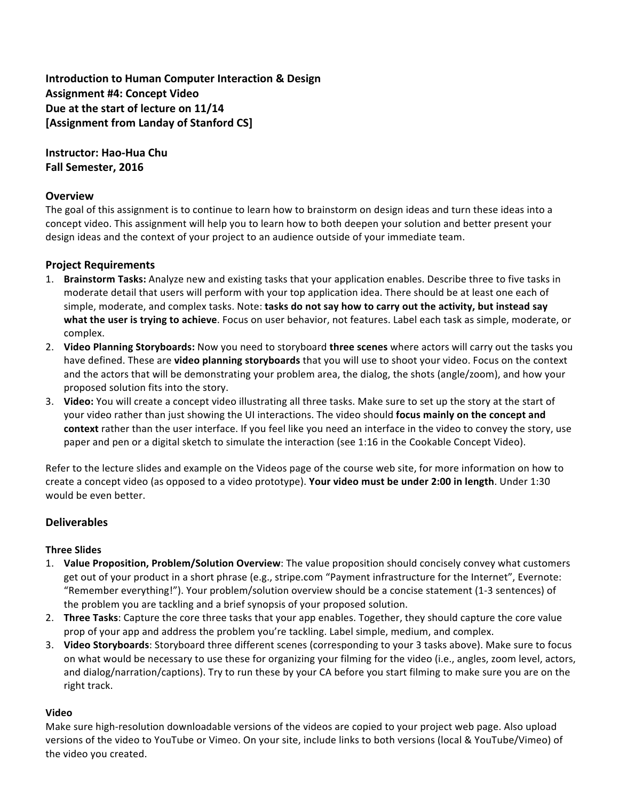# **Introduction to Human Computer Interaction & Design Assignment #4: Concept Video Due** at the start of lecture on 11/14 **[Assignment from Landay of Stanford CS]**

**Instructor: Hao-Hua Chu Fall Semester, 2016**

## **Overview**

The goal of this assignment is to continue to learn how to brainstorm on design ideas and turn these ideas into a concept video. This assignment will help you to learn how to both deepen your solution and better present your design ideas and the context of your project to an audience outside of your immediate team.

## **Project Requirements**

- 1. **Brainstorm Tasks:** Analyze new and existing tasks that your application enables. Describe three to five tasks in moderate detail that users will perform with your top application idea. There should be at least one each of simple, moderate, and complex tasks. Note: **tasks do not say how to carry out the activity, but instead say what the user is trying to achieve**. Focus on user behavior, not features. Label each task as simple, moderate, or complex.
- 2. Video Planning Storyboards: Now you need to storyboard three scenes where actors will carry out the tasks you have defined. These are **video planning storyboards** that you will use to shoot your video. Focus on the context and the actors that will be demonstrating your problem area, the dialog, the shots (angle/zoom), and how your proposed solution fits into the story.
- 3. Video: You will create a concept video illustrating all three tasks. Make sure to set up the story at the start of your video rather than just showing the UI interactions. The video should **focus mainly on the concept and** context rather than the user interface. If you feel like you need an interface in the video to convey the story, use paper and pen or a digital sketch to simulate the interaction (see 1:16 in the Cookable Concept Video).

Refer to the lecture slides and example on the Videos page of the course web site, for more information on how to create a concept video (as opposed to a video prototype). Your video must be under 2:00 in length. Under 1:30 would be even better.

## **Deliverables**

## **Three Slides**

- 1. **Value Proposition, Problem/Solution Overview**: The value proposition should concisely convey what customers get out of your product in a short phrase (e.g., stripe.com "Payment infrastructure for the Internet", Evernote: "Remember everything!"). Your problem/solution overview should be a concise statement (1-3 sentences) of the problem you are tackling and a brief synopsis of your proposed solution.
- 2. **Three Tasks**: Capture the core three tasks that your app enables. Together, they should capture the core value prop of your app and address the problem you're tackling. Label simple, medium, and complex.
- 3. Video Storyboards: Storyboard three different scenes (corresponding to your 3 tasks above). Make sure to focus on what would be necessary to use these for organizing your filming for the video (i.e., angles, zoom level, actors, and dialog/narration/captions). Try to run these by your CA before you start filming to make sure you are on the right track.

#### **Video**

Make sure high-resolution downloadable versions of the videos are copied to your project web page. Also upload versions of the video to YouTube or Vimeo. On your site, include links to both versions (local & YouTube/Vimeo) of the video you created.